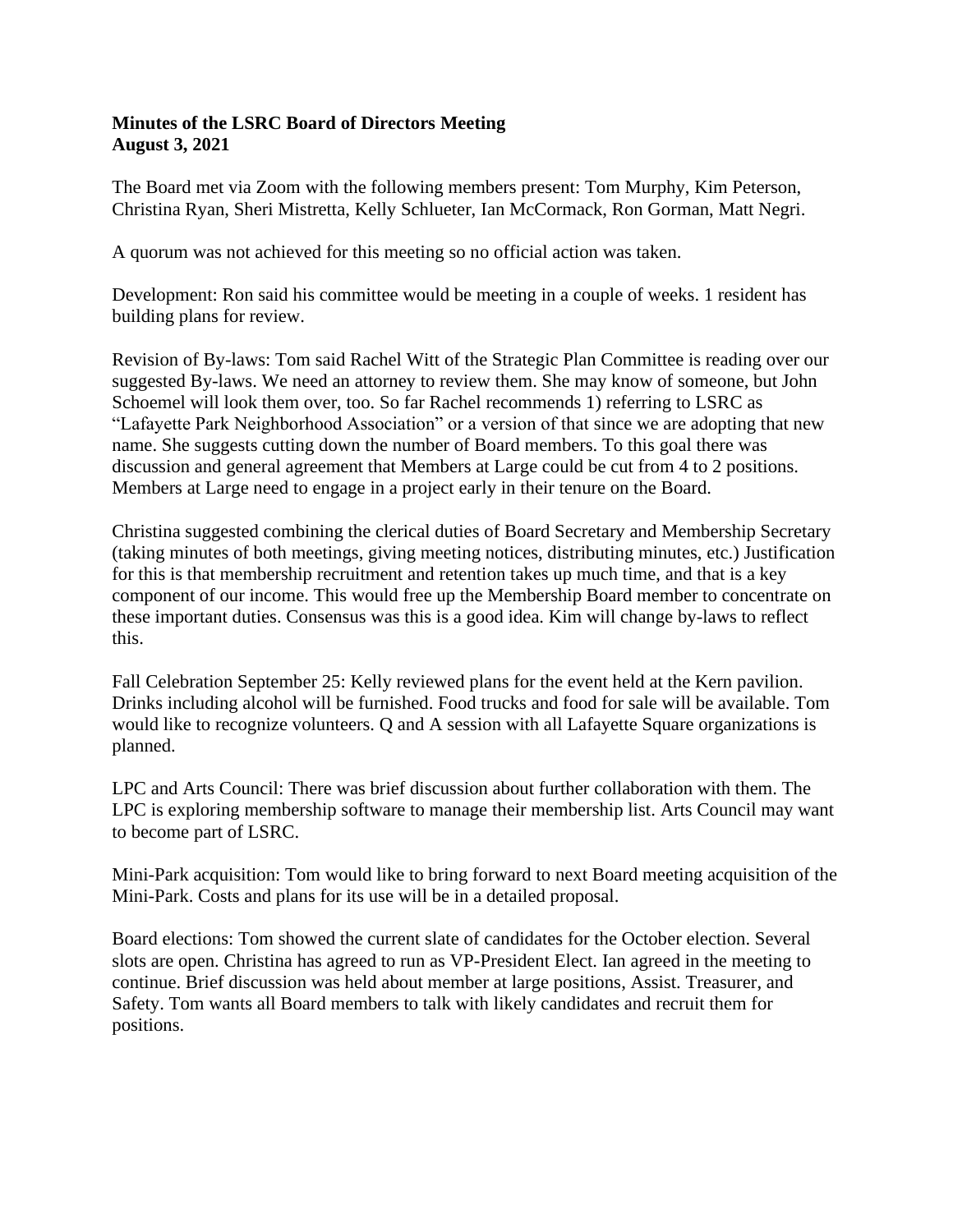## **Minutes of the LSRC Board of Directors Meeting August 3, 2021**

The Board met via Zoom with the following members present: Tom Murphy, Kim Peterson, Christina Ryan, Sheri Mistretta, Kelly Schlueter, Ian McCormack, Ron Gorman, Matt Negri.

A quorum was not achieved for this meeting so no official action was taken.

Development: Ron said his committee would be meeting in a couple of weeks. 1 resident has building plans for review.

Revision of By-laws: Tom said Rachel Witt of the Strategic Plan Committee is reading over our suggested By-laws. We need an attorney to review them. She may know of someone, but John Schoemel will look them over, too. So far Rachel recommends 1) referring to LSRC as "Lafayette Park Neighborhood Association" or a version of that since we are adopting that new name. She suggests cutting down the number of Board members. To this goal there was discussion and general agreement that Members at Large could be cut from 4 to 2 positions. Members at Large need to engage in a project early in their tenure on the Board.

Christina suggested combining the clerical duties of Board Secretary and Membership Secretary (taking minutes of both meetings, giving meeting notices, distributing minutes, etc.) Justification for this is that membership recruitment and retention takes up much time, and that is a key component of our income. This would free up the Membership Board member to concentrate on these important duties. Consensus was this is a good idea. Kim will change by-laws to reflect this.

Fall Celebration September 25: Kelly reviewed plans for the event held at the Kern pavilion. Drinks including alcohol will be furnished. Food trucks and food for sale will be available. Tom would like to recognize volunteers. Q and A session with all Lafayette Square organizations is planned.

LPC and Arts Council: There was brief discussion about further collaboration with them. The LPC is exploring membership software to manage their membership list. Arts Council may want to become part of LSRC.

Mini-Park acquisition: Tom would like to bring forward to next Board meeting acquisition of the Mini-Park. Costs and plans for its use will be in a detailed proposal.

Board elections: Tom showed the current slate of candidates for the October election. Several slots are open. Christina has agreed to run as VP-President Elect. Ian agreed in the meeting to continue. Brief discussion was held about member at large positions, Assist. Treasurer, and Safety. Tom wants all Board members to talk with likely candidates and recruit them for positions.